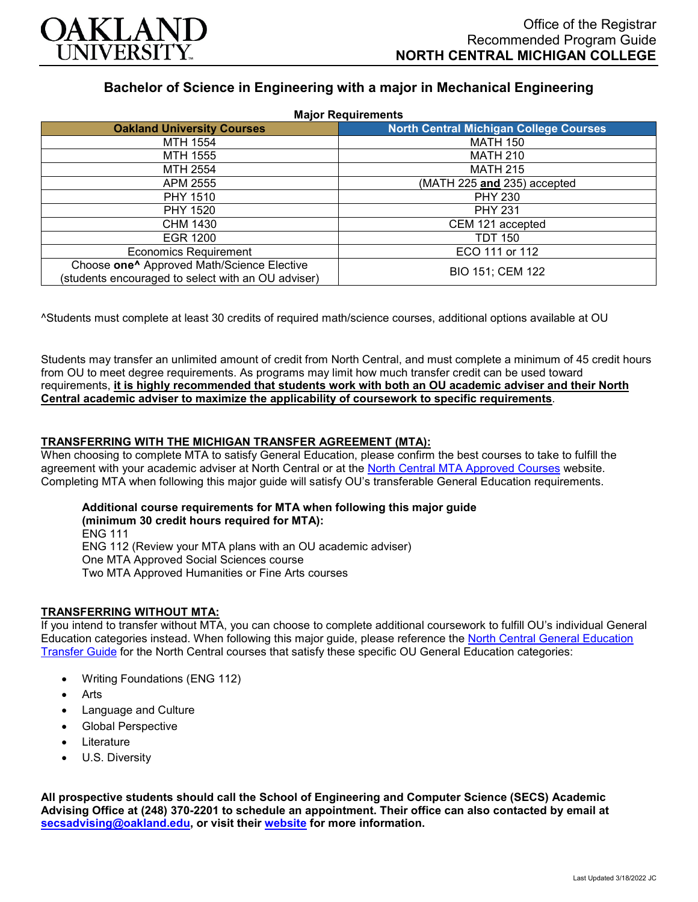

# **Bachelor of Science in Engineering with a major in Mechanical Engineering**

| <b>Major Requirements</b>                                                                                    |                                               |
|--------------------------------------------------------------------------------------------------------------|-----------------------------------------------|
| <b>Oakland University Courses</b>                                                                            | <b>North Central Michigan College Courses</b> |
| MTH 1554                                                                                                     | <b>MATH 150</b>                               |
| MTH 1555                                                                                                     | <b>MATH 210</b>                               |
| MTH 2554                                                                                                     | <b>MATH 215</b>                               |
| APM 2555                                                                                                     | (MATH 225 and 235) accepted                   |
| <b>PHY 1510</b>                                                                                              | <b>PHY 230</b>                                |
| PHY 1520                                                                                                     | <b>PHY 231</b>                                |
| CHM 1430                                                                                                     | CEM 121 accepted                              |
| EGR 1200                                                                                                     | <b>TDT 150</b>                                |
| <b>Economics Requirement</b>                                                                                 | ECO 111 or 112                                |
| Choose one <sup>^</sup> Approved Math/Science Elective<br>(students encouraged to select with an OU adviser) | BIO 151; CEM 122                              |

^Students must complete at least 30 credits of required math/science courses, additional options available at OU

Students may transfer an unlimited amount of credit from North Central, and must complete a minimum of 45 credit hours from OU to meet degree requirements. As programs may limit how much transfer credit can be used toward requirements, **it is highly recommended that students work with both an OU academic adviser and their North Central academic adviser to maximize the applicability of coursework to specific requirements**.

## **TRANSFERRING WITH THE MICHIGAN TRANSFER AGREEMENT (MTA):**

When choosing to complete MTA to satisfy General Education, please confirm the best courses to take to fulfill the agreement with your academic adviser at North Central or at the [North Central MTA Approved Courses](https://www.ncmich.edu/admissions/transfer-information/michigan-transfer-agreement-mta.html) website. Completing MTA when following this major guide will satisfy OU's transferable General Education requirements.

# **Additional course requirements for MTA when following this major guide**

**(minimum 30 credit hours required for MTA):** ENG 111 ENG 112 (Review your MTA plans with an OU academic adviser) One MTA Approved Social Sciences course Two MTA Approved Humanities or Fine Arts courses

#### **TRANSFERRING WITHOUT MTA:**

If you intend to transfer without MTA, you can choose to complete additional coursework to fulfill OU's individual General Education categories instead. When following this major guide, please reference the North Central General Education [Transfer Guide](https://www.oakland.edu/Assets/Oakland/program-guides/north-central-michigan-college/university-general-education-requirements/North%20Central%20Michigan%20Gen%20Ed.pdf) for the North Central courses that satisfy these specific OU General Education categories:

- Writing Foundations (ENG 112)
- **Arts**
- Language and Culture
- Global Perspective
- **Literature**
- U.S. Diversity

**All prospective students should call the School of Engineering and Computer Science (SECS) Academic Advising Office at (248) 370-2201 to schedule an appointment. Their office can also contacted by email at [secsadvising@oakland.edu,](mailto:secsadvising@oakland.edu) or visit their [website](https://wwwp.oakland.edu/secs/advising/) for more information.**